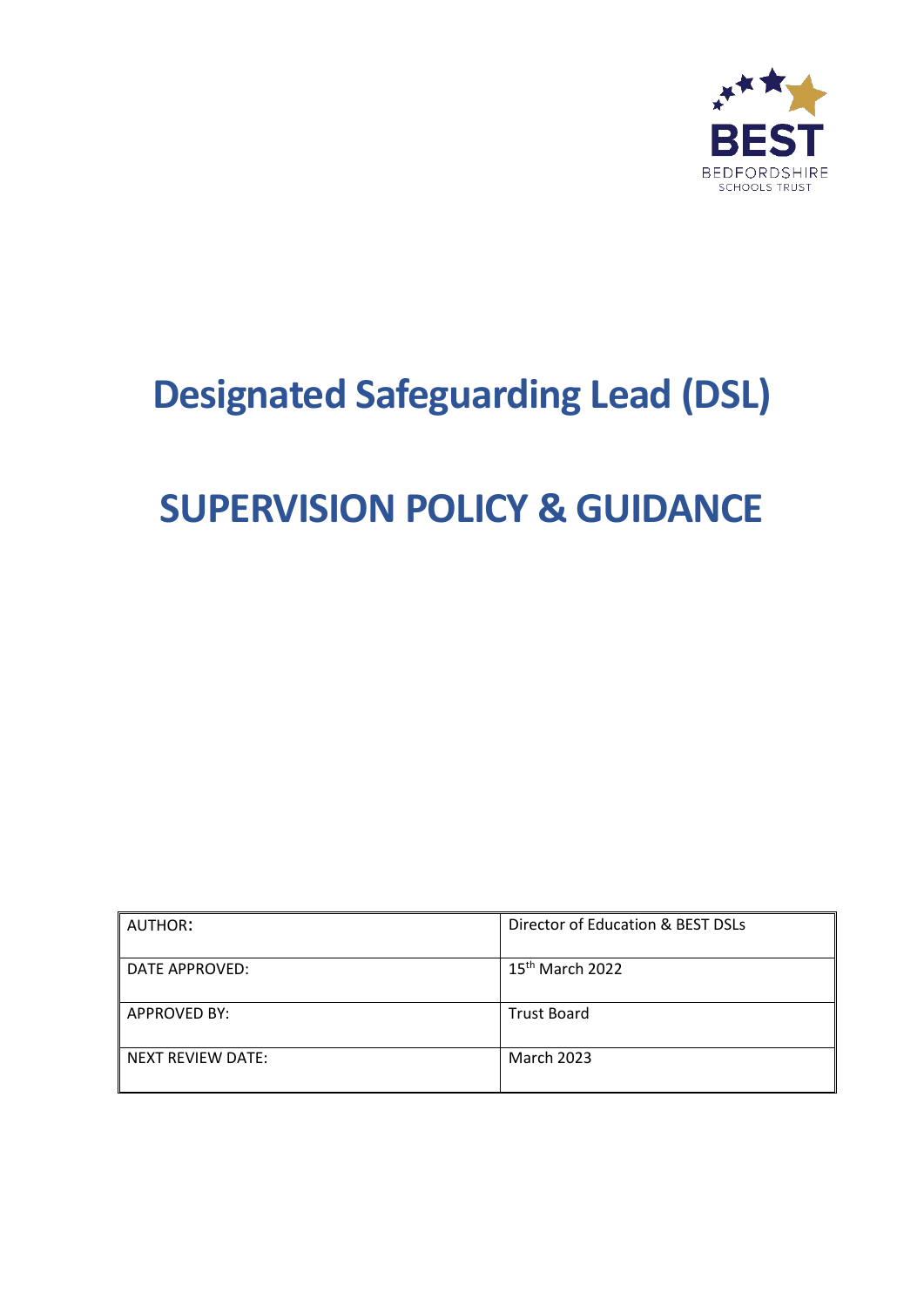

# **Designated Safeguarding Lead (DSL)**

# **SUPERVISION POLICY & GUIDANCE**

| <b>AUTHOR:</b>      | Director of Education & BEST DSLs |
|---------------------|-----------------------------------|
| DATE APPROVED:      | 15 <sup>th</sup> March 2022       |
| <b>APPROVED BY:</b> | <b>Trust Board</b>                |
| NEXT REVIEW DATE:   | <b>March 2023</b>                 |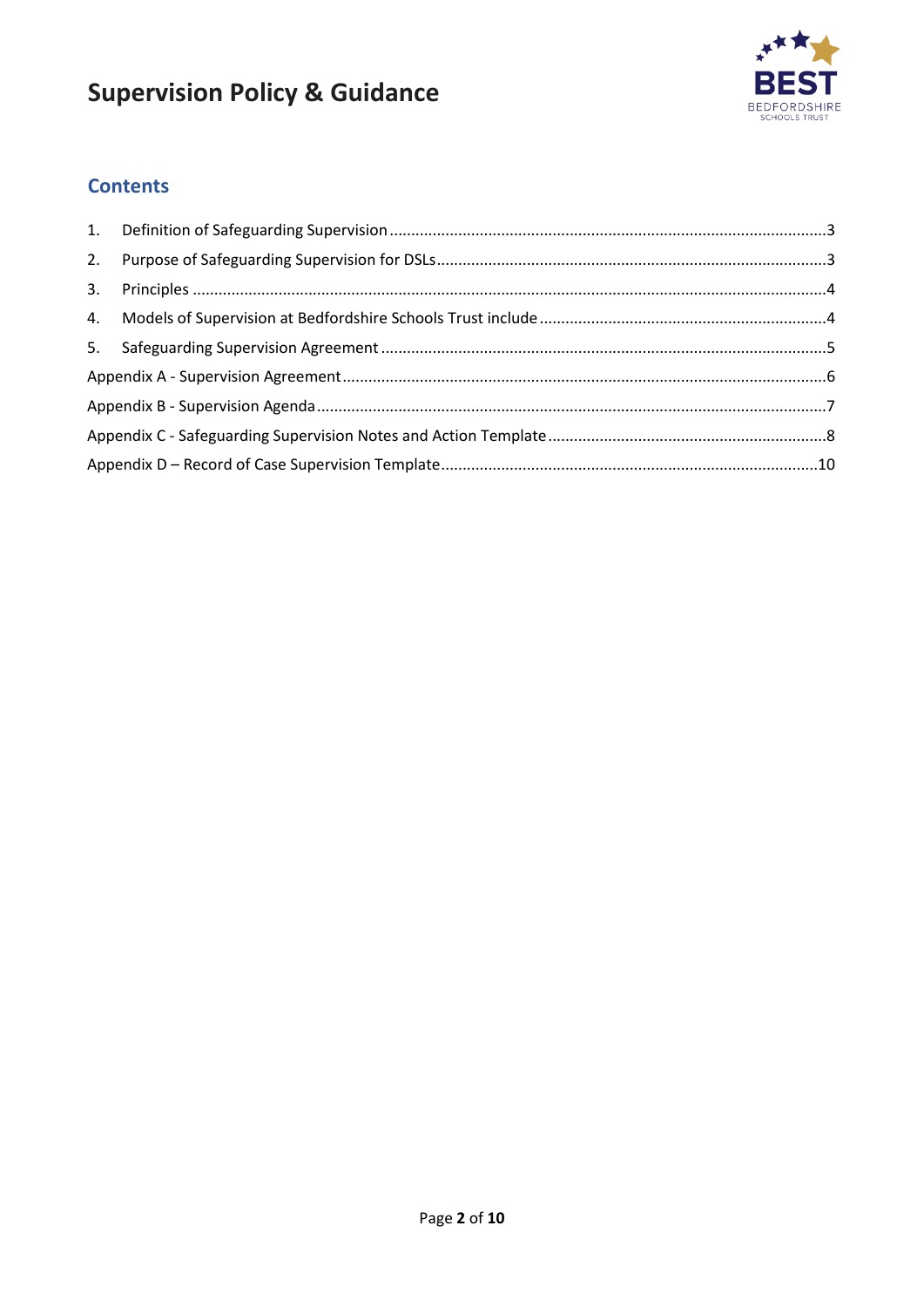

#### **Contents**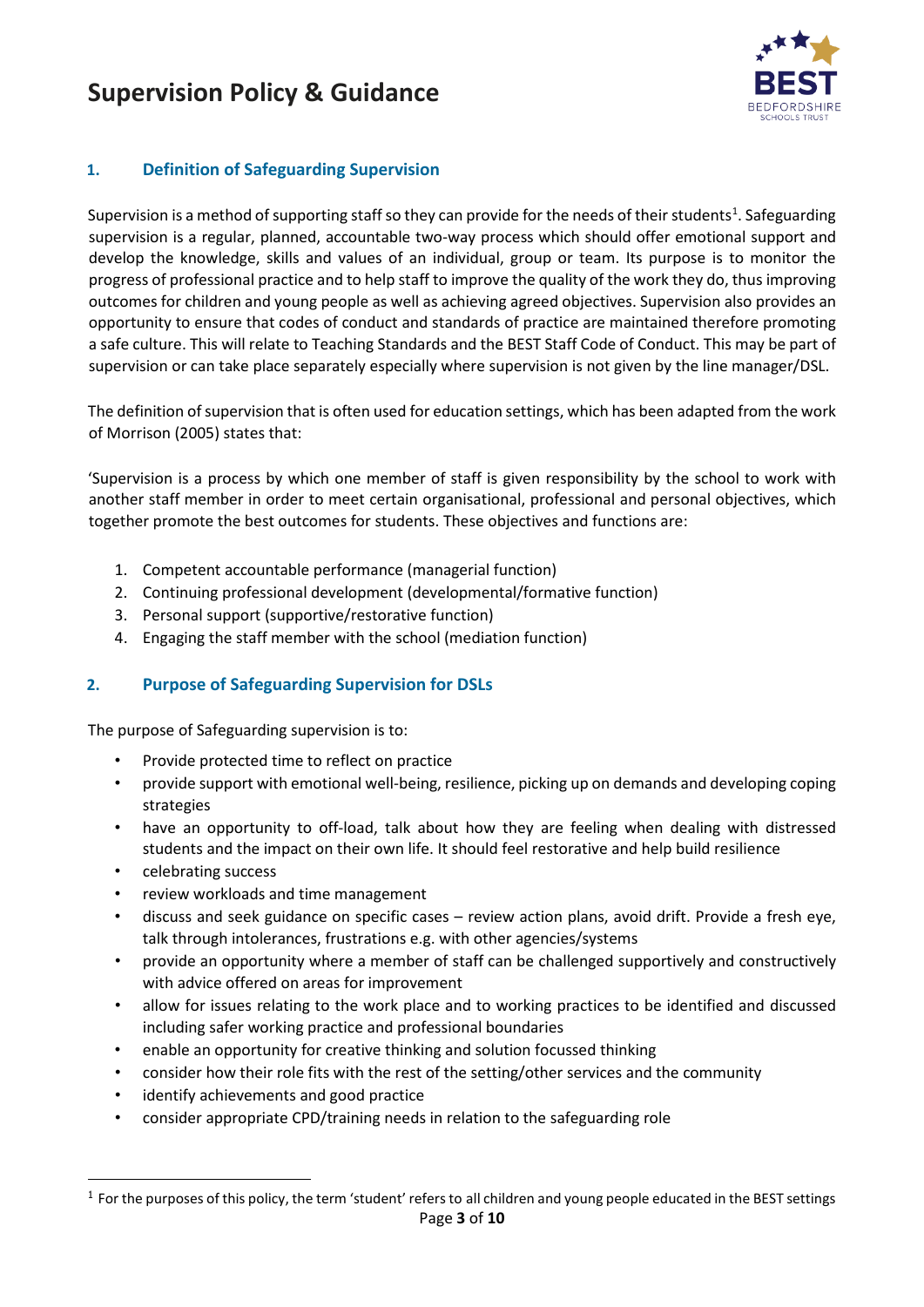

#### <span id="page-2-0"></span>**1. Definition of Safeguarding Supervision**

Supervision is a method of supporting staff so they can provide for the needs of their students<sup>[1](#page-2-2)</sup>. Safeguarding supervision is a regular, planned, accountable two-way process which should offer emotional support and develop the knowledge, skills and values of an individual, group or team. Its purpose is to monitor the progress of professional practice and to help staff to improve the quality of the work they do, thus improving outcomes for children and young people as well as achieving agreed objectives. Supervision also provides an opportunity to ensure that codes of conduct and standards of practice are maintained therefore promoting a safe culture. This will relate to Teaching Standards and the BEST Staff Code of Conduct. This may be part of supervision or can take place separately especially where supervision is not given by the line manager/DSL.

The definition of supervision that is often used for education settings, which has been adapted from the work of Morrison (2005) states that:

'Supervision is a process by which one member of staff is given responsibility by the school to work with another staff member in order to meet certain organisational, professional and personal objectives, which together promote the best outcomes for students. These objectives and functions are:

- 1. Competent accountable performance (managerial function)
- 2. Continuing professional development (developmental/formative function)
- 3. Personal support (supportive/restorative function)
- 4. Engaging the staff member with the school (mediation function)

#### <span id="page-2-1"></span>**2. Purpose of Safeguarding Supervision for DSLs**

The purpose of Safeguarding supervision is to:

- Provide protected time to reflect on practice
- provide support with emotional well-being, resilience, picking up on demands and developing coping strategies
- have an opportunity to off-load, talk about how they are feeling when dealing with distressed students and the impact on their own life. It should feel restorative and help build resilience
- celebrating success
- review workloads and time management
- discuss and seek guidance on specific cases review action plans, avoid drift. Provide a fresh eye, talk through intolerances, frustrations e.g. with other agencies/systems
- provide an opportunity where a member of staff can be challenged supportively and constructively with advice offered on areas for improvement
- allow for issues relating to the work place and to working practices to be identified and discussed including safer working practice and professional boundaries
- enable an opportunity for creative thinking and solution focussed thinking
- consider how their role fits with the rest of the setting/other services and the community
- identify achievements and good practice
- consider appropriate CPD/training needs in relation to the safeguarding role

<span id="page-2-2"></span>Page **3** of **10**  $<sup>1</sup>$  For the purposes of this policy, the term 'student' refers to all children and young people educated in the BEST settings</sup>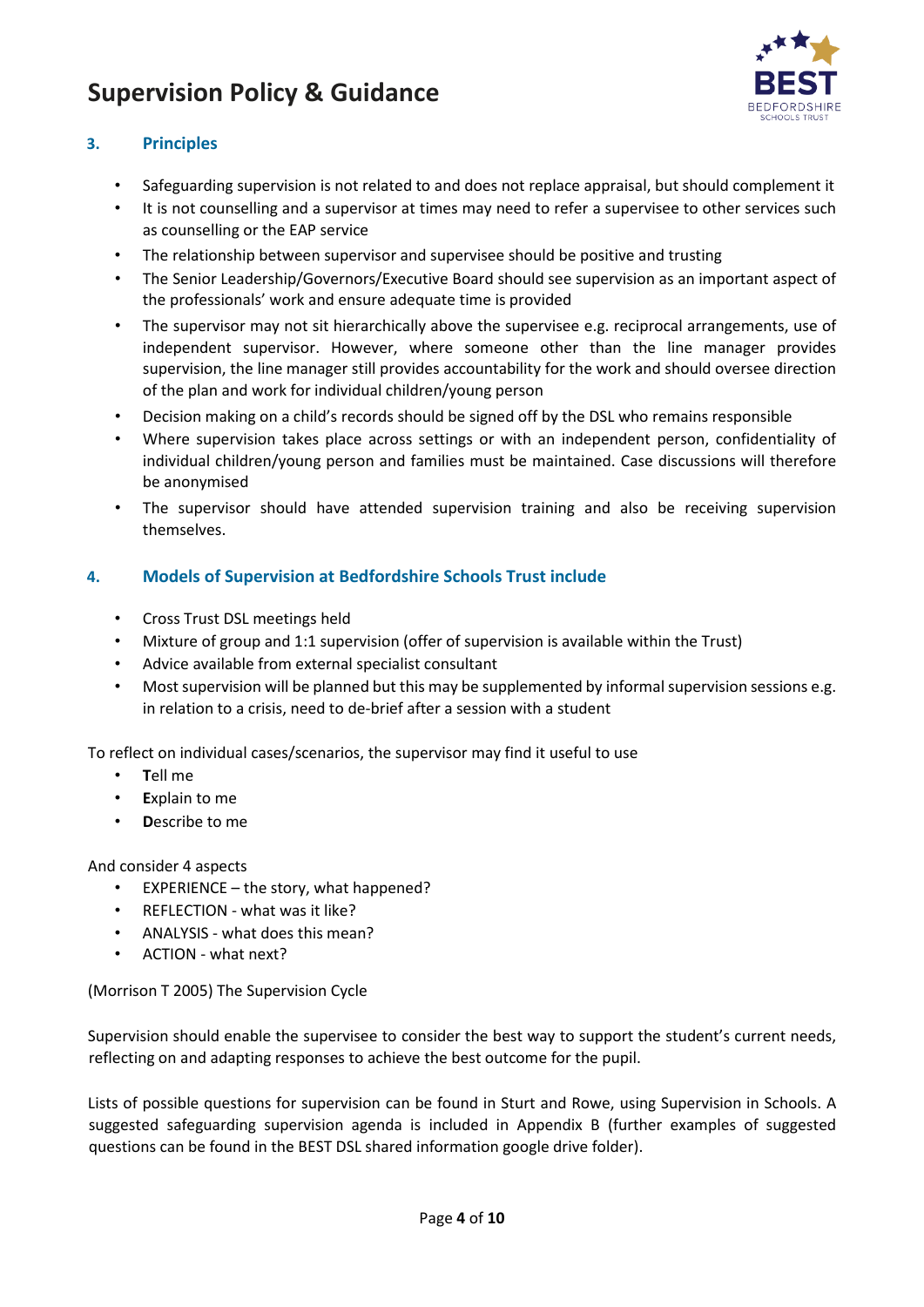

#### <span id="page-3-0"></span>**3. Principles**

- Safeguarding supervision is not related to and does not replace appraisal, but should complement it
- It is not counselling and a supervisor at times may need to refer a supervisee to other services such as counselling or the EAP service
- The relationship between supervisor and supervisee should be positive and trusting
- The Senior Leadership/Governors/Executive Board should see supervision as an important aspect of the professionals' work and ensure adequate time is provided
- The supervisor may not sit hierarchically above the supervisee e.g. reciprocal arrangements, use of independent supervisor. However, where someone other than the line manager provides supervision, the line manager still provides accountability for the work and should oversee direction of the plan and work for individual children/young person
- Decision making on a child's records should be signed off by the DSL who remains responsible
- Where supervision takes place across settings or with an independent person, confidentiality of individual children/young person and families must be maintained. Case discussions will therefore be anonymised
- The supervisor should have attended supervision training and also be receiving supervision themselves.

#### <span id="page-3-1"></span>**4. Models of Supervision at Bedfordshire Schools Trust include**

- Cross Trust DSL meetings held
- Mixture of group and 1:1 supervision (offer of supervision is available within the Trust)
- Advice available from external specialist consultant
- Most supervision will be planned but this may be supplemented by informal supervision sessions e.g. in relation to a crisis, need to de-brief after a session with a student

To reflect on individual cases/scenarios, the supervisor may find it useful to use

- **T**ell me
- **E**xplain to me
- **D**escribe to me

And consider 4 aspects

- EXPERIENCE the story, what happened?
- REFLECTION what was it like?
- ANALYSIS what does this mean?
- ACTION what next?

(Morrison T 2005) The Supervision Cycle

Supervision should enable the supervisee to consider the best way to support the student's current needs, reflecting on and adapting responses to achieve the best outcome for the pupil.

Lists of possible questions for supervision can be found in Sturt and Rowe, using Supervision in Schools. A suggested safeguarding supervision agenda is included in Appendix B (further examples of suggested questions can be found in the BEST DSL shared information google drive folder).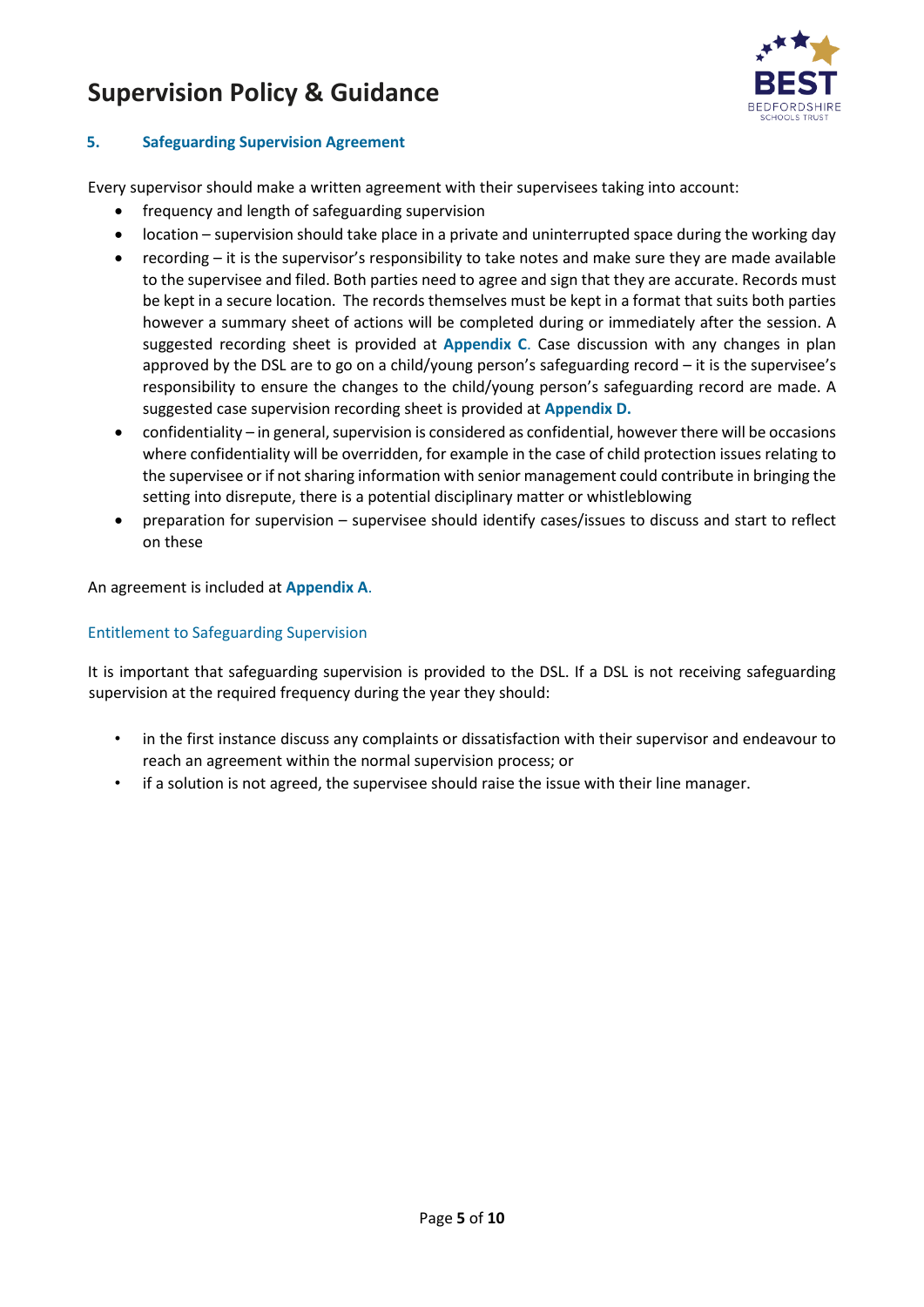

#### <span id="page-4-0"></span>**5. Safeguarding Supervision Agreement**

Every supervisor should make a written agreement with their supervisees taking into account:

- frequency and length of safeguarding supervision
- location supervision should take place in a private and uninterrupted space during the working day
- recording it is the supervisor's responsibility to take notes and make sure they are made available to the supervisee and filed. Both parties need to agree and sign that they are accurate. Records must be kept in a secure location. The records themselves must be kept in a format that suits both parties however a summary sheet of actions will be completed during or immediately after the session. A suggested recording sheet is provided at **Appendix C**. Case discussion with any changes in plan approved by the DSL are to go on a child/young person's safeguarding record – it is the supervisee's responsibility to ensure the changes to the child/young person's safeguarding record are made. A suggested case supervision recording sheet is provided at **Appendix D.**
- confidentiality in general, supervision is considered as confidential, however there will be occasions where confidentiality will be overridden, for example in the case of child protection issues relating to the supervisee or if not sharing information with senior management could contribute in bringing the setting into disrepute, there is a potential disciplinary matter or whistleblowing
- preparation for supervision supervisee should identify cases/issues to discuss and start to reflect on these

An agreement is included at **Appendix A**.

#### Entitlement to Safeguarding Supervision

It is important that safeguarding supervision is provided to the DSL. If a DSL is not receiving safeguarding supervision at the required frequency during the year they should:

- in the first instance discuss any complaints or dissatisfaction with their supervisor and endeavour to reach an agreement within the normal supervision process; or
- if a solution is not agreed, the supervisee should raise the issue with their line manager.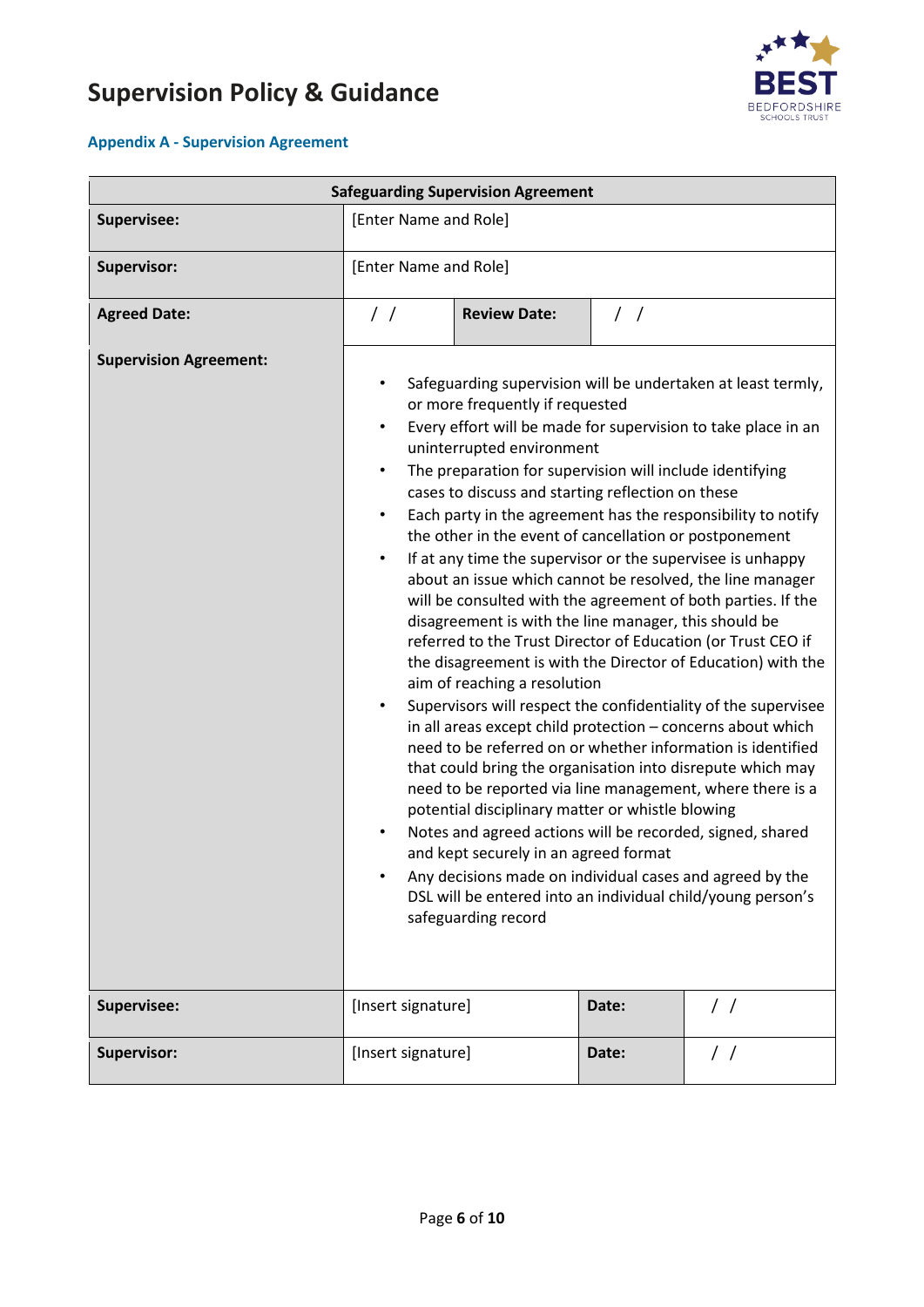

#### <span id="page-5-0"></span>**Appendix A - Supervision Agreement**

| <b>Safeguarding Supervision Agreement</b> |                                                                                                                                                                                                                                                                                                                                                                                                                                                                                                                                                                                                                                                                                                                                                                                                                                                                                                                                                                                                                                                                                                                                                                                                                                                                                                                                                                                                                                                                                                                                                      |                     |               |               |
|-------------------------------------------|------------------------------------------------------------------------------------------------------------------------------------------------------------------------------------------------------------------------------------------------------------------------------------------------------------------------------------------------------------------------------------------------------------------------------------------------------------------------------------------------------------------------------------------------------------------------------------------------------------------------------------------------------------------------------------------------------------------------------------------------------------------------------------------------------------------------------------------------------------------------------------------------------------------------------------------------------------------------------------------------------------------------------------------------------------------------------------------------------------------------------------------------------------------------------------------------------------------------------------------------------------------------------------------------------------------------------------------------------------------------------------------------------------------------------------------------------------------------------------------------------------------------------------------------------|---------------------|---------------|---------------|
| Supervisee:                               | [Enter Name and Role]                                                                                                                                                                                                                                                                                                                                                                                                                                                                                                                                                                                                                                                                                                                                                                                                                                                                                                                                                                                                                                                                                                                                                                                                                                                                                                                                                                                                                                                                                                                                |                     |               |               |
| <b>Supervisor:</b>                        | [Enter Name and Role]                                                                                                                                                                                                                                                                                                                                                                                                                                                                                                                                                                                                                                                                                                                                                                                                                                                                                                                                                                                                                                                                                                                                                                                                                                                                                                                                                                                                                                                                                                                                |                     |               |               |
| <b>Agreed Date:</b>                       | $\frac{1}{2}$                                                                                                                                                                                                                                                                                                                                                                                                                                                                                                                                                                                                                                                                                                                                                                                                                                                                                                                                                                                                                                                                                                                                                                                                                                                                                                                                                                                                                                                                                                                                        | <b>Review Date:</b> | $\frac{1}{2}$ |               |
| <b>Supervision Agreement:</b>             | Safeguarding supervision will be undertaken at least termly,<br>or more frequently if requested<br>Every effort will be made for supervision to take place in an<br>$\bullet$<br>uninterrupted environment<br>The preparation for supervision will include identifying<br>$\bullet$<br>cases to discuss and starting reflection on these<br>Each party in the agreement has the responsibility to notify<br>٠<br>the other in the event of cancellation or postponement<br>If at any time the supervisor or the supervisee is unhappy<br>$\bullet$<br>about an issue which cannot be resolved, the line manager<br>will be consulted with the agreement of both parties. If the<br>disagreement is with the line manager, this should be<br>referred to the Trust Director of Education (or Trust CEO if<br>the disagreement is with the Director of Education) with the<br>aim of reaching a resolution<br>Supervisors will respect the confidentiality of the supervisee<br>٠<br>in all areas except child protection - concerns about which<br>need to be referred on or whether information is identified<br>that could bring the organisation into disrepute which may<br>need to be reported via line management, where there is a<br>potential disciplinary matter or whistle blowing<br>Notes and agreed actions will be recorded, signed, shared<br>and kept securely in an agreed format<br>Any decisions made on individual cases and agreed by the<br>DSL will be entered into an individual child/young person's<br>safeguarding record |                     |               |               |
| Supervisee:                               | [Insert signature]                                                                                                                                                                                                                                                                                                                                                                                                                                                                                                                                                                                                                                                                                                                                                                                                                                                                                                                                                                                                                                                                                                                                                                                                                                                                                                                                                                                                                                                                                                                                   |                     | Date:         | $\frac{1}{2}$ |
| Supervisor:                               | [Insert signature]                                                                                                                                                                                                                                                                                                                                                                                                                                                                                                                                                                                                                                                                                                                                                                                                                                                                                                                                                                                                                                                                                                                                                                                                                                                                                                                                                                                                                                                                                                                                   |                     | Date:         | $\frac{1}{2}$ |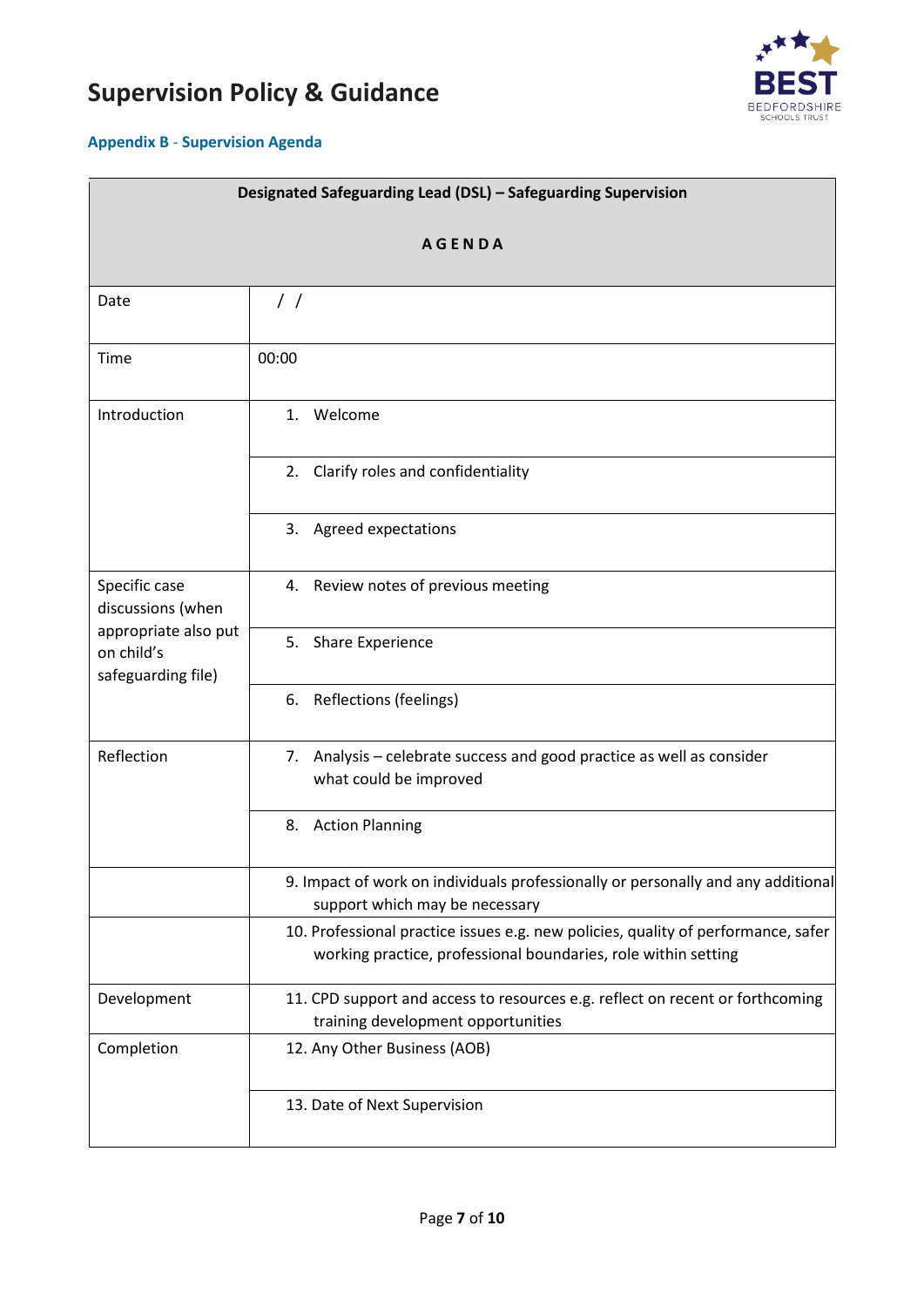

#### <span id="page-6-0"></span>**Appendix B** - **Supervision Agenda**

| Designated Safeguarding Lead (DSL) - Safeguarding Supervision |                                                                                                                                                     |  |
|---------------------------------------------------------------|-----------------------------------------------------------------------------------------------------------------------------------------------------|--|
| <b>AGENDA</b>                                                 |                                                                                                                                                     |  |
| Date                                                          | $\frac{1}{2}$                                                                                                                                       |  |
|                                                               |                                                                                                                                                     |  |
| Time                                                          | 00:00                                                                                                                                               |  |
| Introduction                                                  | 1. Welcome                                                                                                                                          |  |
|                                                               | 2. Clarify roles and confidentiality                                                                                                                |  |
|                                                               | 3. Agreed expectations                                                                                                                              |  |
| Specific case<br>discussions (when                            | 4. Review notes of previous meeting                                                                                                                 |  |
| appropriate also put<br>on child's<br>safeguarding file)      | 5. Share Experience                                                                                                                                 |  |
|                                                               | Reflections (feelings)<br>6.                                                                                                                        |  |
| Reflection                                                    | 7. Analysis - celebrate success and good practice as well as consider<br>what could be improved                                                     |  |
|                                                               | <b>Action Planning</b><br>8.                                                                                                                        |  |
|                                                               | 9. Impact of work on individuals professionally or personally and any additional<br>support which may be necessary                                  |  |
|                                                               | 10. Professional practice issues e.g. new policies, quality of performance, safer<br>working practice, professional boundaries, role within setting |  |
| Development                                                   | 11. CPD support and access to resources e.g. reflect on recent or forthcoming<br>training development opportunities                                 |  |
| Completion                                                    | 12. Any Other Business (AOB)                                                                                                                        |  |
|                                                               | 13. Date of Next Supervision                                                                                                                        |  |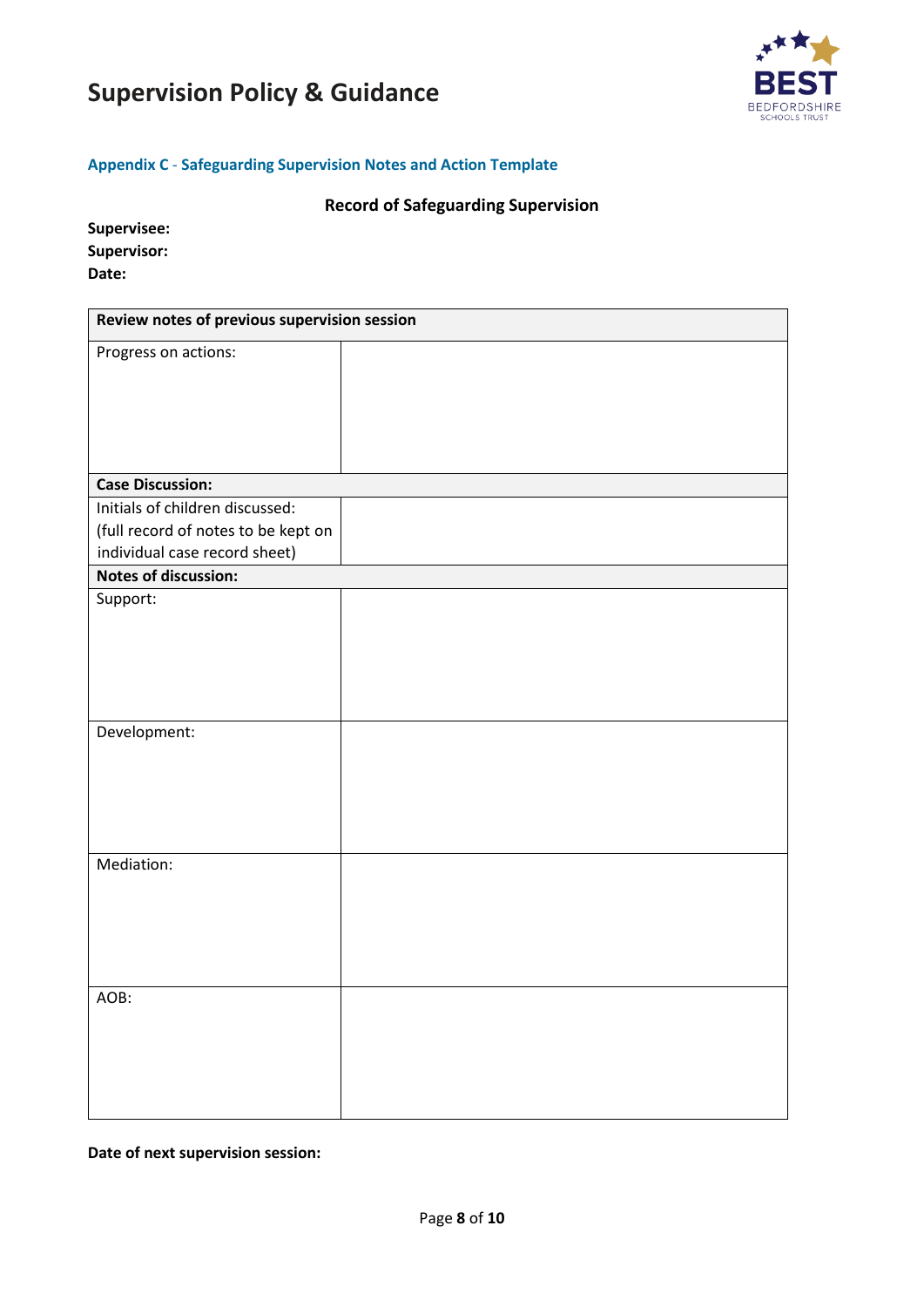

#### <span id="page-7-0"></span>**Appendix C** - **Safeguarding Supervision Notes and Action Template**

#### **Record of Safeguarding Supervision**

| Supervisee: |
|-------------|
| Supervisor: |
| Date:       |

| Review notes of previous supervision session                 |  |  |
|--------------------------------------------------------------|--|--|
| Progress on actions:                                         |  |  |
|                                                              |  |  |
|                                                              |  |  |
|                                                              |  |  |
|                                                              |  |  |
| <b>Case Discussion:</b>                                      |  |  |
| Initials of children discussed:                              |  |  |
| (full record of notes to be kept on                          |  |  |
| individual case record sheet)<br><b>Notes of discussion:</b> |  |  |
| Support:                                                     |  |  |
|                                                              |  |  |
|                                                              |  |  |
|                                                              |  |  |
|                                                              |  |  |
|                                                              |  |  |
| Development:                                                 |  |  |
|                                                              |  |  |
|                                                              |  |  |
|                                                              |  |  |
|                                                              |  |  |
| Mediation:                                                   |  |  |
|                                                              |  |  |
|                                                              |  |  |
|                                                              |  |  |
|                                                              |  |  |
| AOB:                                                         |  |  |
|                                                              |  |  |
|                                                              |  |  |
|                                                              |  |  |
|                                                              |  |  |
|                                                              |  |  |

**Date of next supervision session:**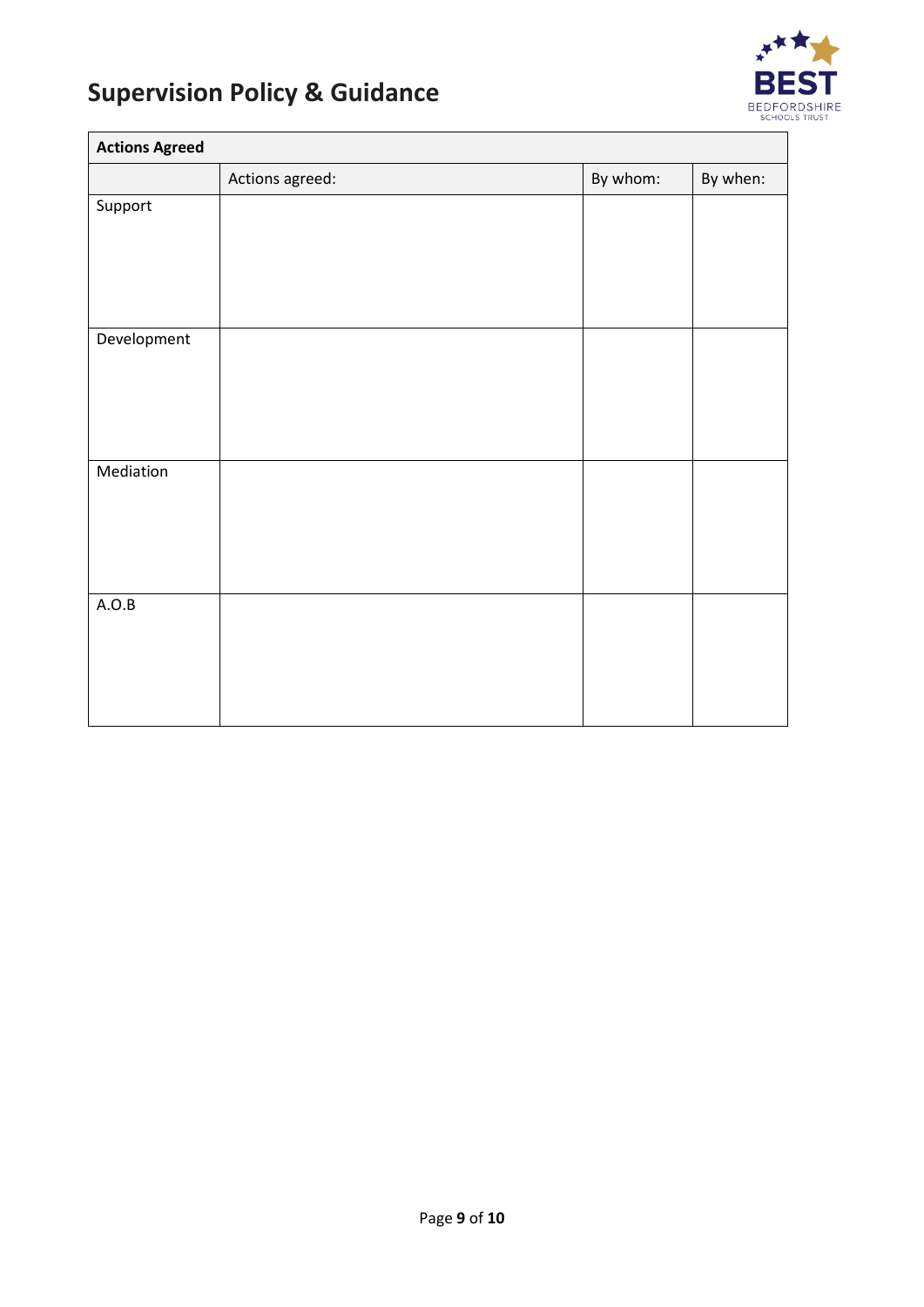

 $\blacksquare$ 

| <b>Actions Agreed</b> |                 |          |          |
|-----------------------|-----------------|----------|----------|
|                       | Actions agreed: | By whom: | By when: |
| Support               |                 |          |          |
|                       |                 |          |          |
|                       |                 |          |          |
|                       |                 |          |          |
|                       |                 |          |          |
| Development           |                 |          |          |
|                       |                 |          |          |
|                       |                 |          |          |
|                       |                 |          |          |
| Mediation             |                 |          |          |
|                       |                 |          |          |
|                       |                 |          |          |
|                       |                 |          |          |
|                       |                 |          |          |
| A.O.B                 |                 |          |          |
|                       |                 |          |          |
|                       |                 |          |          |
|                       |                 |          |          |
|                       |                 |          |          |